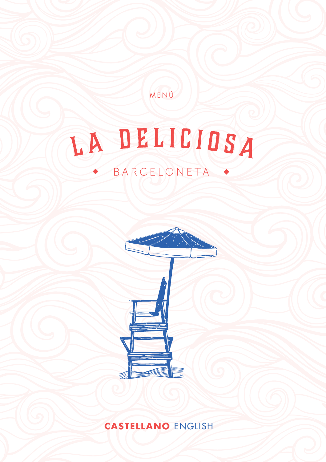MENÚ

# LA DELICIOSA BARCELONETA .



**CASTELLANO** ENGLISH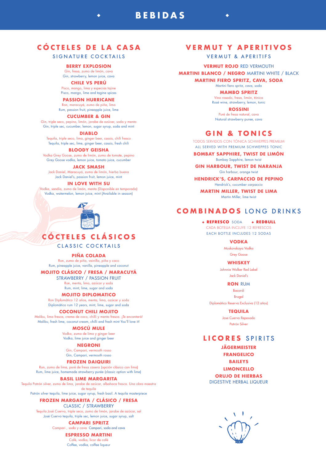# **CÓCTELES DE LA CASA**

**BEBIDAS**

# SIGNATURE COCKTAILS

### **BERRY EXPLOSION**

Gin, fresa, zumo de limón, cava Gin, strawberry, lemon juice, cava

### **CHILE VS PERÚ**

Pisco, mango, lima y especias tajine Pisco, mango, lime and tagine spices

#### **PASSION HURRICANE**

Ron, maracuyá, zumo de piña, lima Rum, passion fruit, pineapple juice, lime

#### **CUCUMBER & GIN**

Gin, triple seco, pepino, limón, jarabe de azúcar, soda y menta Gin, triple sec, cucumber, lemon, sugar syrup, soda and mint

#### **DIABLO**

Tequila, triple seco, lima, ginger beer, cassis, chili fresco Tequila, triple sec, lime, ginger beer, cassis, fresh chili

#### **BLOODY GEISHA**

Vodka Grey Goose, zumo de limón, zumo de tomate, pepino Grey Goose vodka, lemon juice, tomato juice, cucumber

#### **JACK SMASH**

Jack Daniel, Maracuyá, zumo de limón, hierba buena Jack Daniel's, passion fruit, lemon juice, mint

#### **IN LOVE WITH SU**

Vodka, sandía, zumo de limón, menta (Disponible en temporada) Vodka, watermelon, lemon juice, mint (Available in season)



# **CÓCTELES CLÁSICOS**

CLASSIC COCKTAILS

#### **PIÑA COLADA**

Ron, zumo de piña, vainilla, piña y coco Rum, pineapple juice, vanilla, pineapple and coconut

#### **MOJITO CLÁSICO / FRESA / MARACUYÁ**

STRAWBERRY / PASSION FRUIT Ron, menta, lima, azúcar y soda Rum, mint, lime, sugar and soda

### **MOJITO DIPLOMATICO**

Ron Diplomático 12 años, menta, lima, azúcar y soda Diplomático rum 12 years, mint, lime, sugar and soda

### **COCONUT CHILI MOJITO**

Malibu, lima fresca, crema de coco, chilli y menta fresca. ¡Te encantará! Malibu, fresh lime, coconut cream, chilli and fresh mint You'll love it!

#### **MOSCÚ MULE**

Vodka, zumo de lima y ginger beer Vodka, lime juice and ginger beer

#### **NEGRONI**

Gin, Campari, vermouth rosso Gin, Campari, vermouth rosso

#### **FROZEN DAIQUIRI**

Ron, zumo de lima, puré de fresa casera (opción clásico con lima) Rum, lime juice, homemade strawberry purée (classic option with lime)

#### **BASIL LIME MARGARITA**

Tequila Patrón silver, zumo de lima, jarabe de azúcar, albahaca fresca. Una obra maestra de tequila

### Patrón silver tequila, lime juice, sugar syrup, fresh basil. A tequila masterpiece

### **FROZEN MARGARITA / CLÁSICO / FRESA**

CLASSIC / STRAWBERRY

#### Tequila José Cuervo, triple seco, zumo de limón, jarabe de azúcar, sal José Cuervo tequila, triple sec, lemon juice, sugar syrup, salt

**CAMPARI SPRITZ**

Campari , soda y cava Campari, soda and cava

**ESPRESSO MARTINI**  Café, vodka, licor de café Coffee, vodka, coffee liqueur

# **VERMUT Y APERITIVOS**

VERMUT & APERITIFS

**VERMUT ROJO** RED VERMOUTH **MARTINI BLANCO / NEGRO** MARTINI WHITE / BLACK

**MARTINI FIERO SPRITZ, CAVA, SODA**

### Martini fiero spritz, cava, soda

**MAMBO SPRITZ** Vino rosado, fresa, limón, tónica Rosé wine, strawberry, lemon, tonic

**ROSSINI** Puré de fresa natural, cava Natural strawberry puree, cava

# **GIN & TONICS**

TODOS SERVIDOS CON TÓNICA SCHWEPPES PREMIUM ALL SERVED WITH PREMIUM SCHWEPPES TONIC

#### **BOMBAY SAPPHIRE, TWIST DE LIMÓN** Bombay Sapphire, lemon twist

**GIN HARBOUR, TWIST DE NARANJA** Gin harbour, orange twist

**HENDRICK'S, CARPACCIO DE PEPINO** Hendrick's, cucumber carpaccio

**MARTIN MILLER, TWIST DE LIMA** Martin Miller, lime twist

# **COMBINADOS** LONG DRINKS

**+ REFRESCO** SODA **+ REDBULL** CADA BOTELLA INCLUYE 12 REFRESCOS EACH BOTTLE INCLUDES 12 SODAS

**VODKA**

Moskovskaya Vodka Grey Goose

**WHISKEY** Johnnie Walker Red Label Jack Daniel's

#### **RON** RUM

Bacardi Brugal Diplomático Reserva Exclusiva (12 años)

**TEQUILA**

Jose Cuervo Reposado Patrón Silver

# **LICORES** SPIRITS

**JÄGERMEISTER FRANGELICO**

**BAILEYS**

**LIMONCELLO**

**ORUJO DE HIERBAS**

DIGESTIVE HERBAL LIQUEUR

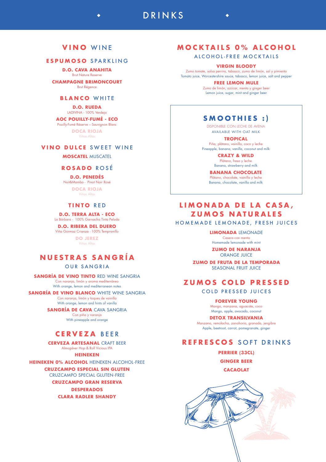# **VINO** WINE

# **ESPUMOSO** SPARKLING

**D.O. CAVA ANAHITA** Brut Nature Reserve

**CHAMPAGNE BRIMONCOURT**  Brut Régence

### **BLANCO** WHITE

**D.O. RUEDA**  LADIVINA - 100% Verdejo **AOC POUILLY-FUMÉ - ECO** 

Pouilly-Fumé Réserve – Sauvignon Blanc

**DOCA RIOJA** Viñas Altas

### **VINO DULCE** SWEET WINE

**MOSCATEL** MUSCATEL

### **ROSADO** ROSÉ

**D.O. PENEDÉS** 

### Nuit&Mambo - Pinot Noir Rosé

**DOCA RIOJA** Viñas Altas

### **TINTO** RED

**D.O. TERRA ALTA - ECO**  La Bárbara - 100% Garnacha Tinta Peluda

**D.O. RIBERA DEL DUERO**  Viña Gormaz Crianza - 100% Tempranillo

**DO JEREZ**

Viñas Altas

# **NUESTRAS SANGRÍA**

### OUR SANGRIA

**SANGRÍA DE VINO TINTO** RED WINE SANGRIA Con naranja, limón y aroma mediterráneo With orange, lemon and mediterranean notes

**SANGRÍA DE VINO BLANCO** WHITE WINE SANGRIA Con naranja, limón y toques de vainilla With orange, lemon and hints of vanilla

> **SANGRÍA DE CAVA** CAVA SANGRIA Con piña y naranja

> > With pineapple and orange

# **CERVEZA** BEER

**CERVEZA ARTESANAL** CRAFT BEER

Almogáver Hop & Roll Vicious IPA

**HEINEKEN** 

**HEINEKEN 0% ALCOHOL** HEINEKEN ALCOHOL-FREE

**CRUZCAMPO ESPECIAL SIN GLUTEN** CRUZCAMPO SPECIAL GLUTEN-FREE

**CRUZCAMPO GRAN RESERVA**

**DESPERADOS CLARA RADLER SHANDY** 

# **MOCKTAILS 0% ALCOHOL**

DRINKS

ALCOHOL-FREE MOCKTAILS

### **VIRGIN BLOODY**

Zumo tomate, salsa perrins, tabasco, zumo de limón, sal y pimienta Tomato juice, Worcestershire sauce, tabasco, lemon juice, salt and pepper

> **FREE LEMON MULE** Zumo de limón, azúcar, menta y ginger beer Lemon juice, sugar, mint and ginger beer

# **SMOOTHIES :)**

DISPONIBLE CON LECHE DE AVENA AVAILABLE WITH OAT MILK

**TROPICAL** Piña, plátano, vainilla, coco y leche Pineapple, banana, vanilla, coconut and milk

> **CRAZY & WILD** Plátano, fresa y leche Banana, strawberry and milk

**BANANA CHOCOLATE**

Plátano, chocolate, vainilla y leche Banana, chocolate, vanilla and milk

# **LIMONADA DE LA CASA, ZUMOS NATURALES**

HOMEMADE LEMONADE, FRESH JUICES

### **LIMONADA** LEMONADE

Casera con menta Homemade lemonade with mint

**ZUMO DE NARANJA** ORANGE JUICE

**ZUMO DE FRUTA DE LA TEMPORADA** SEASONAL FRUIT JUICE

# **ZUMOS COLD PRESSED**

COLD PRESSED JUICES

**FOREVER YOUNG** Mango, manzana, aguacate, coco

Mango, apple, avocado, coconut

### **DETOX TRANSILVANIA**

Manzana, remolacha, zanahoria, granada, jengibre Apple, beetroot, carrot, pomegranate, ginger

# **REFRESCOS** SOFT DRINKS

**PERRIER (33CL)** 

**GINGER BEER** 

**CACAOLAT**

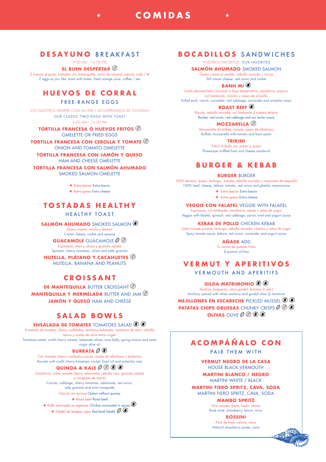# **DESAYUNO** BREAKFAST

9:00 AM - 12:00 PM

**COMIDAS**

**EL BUEN DESPERTAR** 

2 huevos al gusto, tostadas con mantequilla, zumo de naranja natural, café / té 2 eggs as you like, toast with butter, fresh orange juice, coffee / tea

# **HUEVOS DE CORRAL**

### FREE-RANGE EGGS

LOS NUESTROS SIEMPRE CON UN PAR Y ACOMPAÑADOS DE TOSTADAS OUR CLASSIC TWO EGGS WITH TOAST 9:00 AM - 12:00 PM

### **TORTILLA FRANCESA O HUEVOS FRITOS**  OMELETTE OR FRIED EGGS

**TORTILLA FRANCESA CON CEBOLLA Y TOMATE**  ONION AND TOMATO OMELETTE

**TORTILLA FRANCESA CON JAMÓN Y QUESO** HAM AND CHEESE OMELETTE

**TORTILLA FRANCESA CON SALMÓN AHUMADO** SMOKED SALMON OMELETTE

> **+** Extra bacon Extra bacon **+** Extra queso Extra cheese

# **TOSTADAS HEALTHY**

### HEALTHY TOAST

**SALMÓN AHUMADO** SMOKED SALMON

Queso crema, rúcula y sésamo Cream cheese, rocket and sesame

**GUACAMOLE** GUACAMOLE Espinacas, cherry, olivas y granola salada Spinach, cherry tomatoes, olives and salty granola

**NUTELLA, PLÁTANO Y CACAHUETES**  NUTELLA, BANANA AND PEANUTS

# **CROISSANT**

**DE MANTEQUILLA** BUTTER CROISSANT **MANTEQUILLA Y MERMELADA** BUTTER AND JAM **JAMÓN Y QUESO HAM AND CHEESE** 

# **SALAD BOWLS**

### **ENSALADA DE TOMATES** TOMATOES SALAD

Ensalada de tomates, cherry confitados, aceituna kalamata, ventresca de atún, cebolla tierna y aceite de oliva extra virgen

Tomatoes salad, confit cherry tomato, kalamata olives, tuna belly, spring onions and extra virgin olive oil

# **BURRATA**

Con tomates cherry confitados,rúcula, aceite de albahaca y pistachos Burrata with confit cherry tomatoes, rocket, basil oil and pistachio nuts

# **QUINOA & KALE**  $\mathcal{O} \circledcirc \circledast \circledast$

Zanahoria, coles, tomate cherry, edamame, cebolla roja, granola salada y vinagreta de menta Carrots, cabbage, cherry tomatoes, edamame, red onion, salty granola and mint vinaigrette Opción sin quinoa Option without quinoa

### **+** Roast beef Roast beef

**+** Pollo marinado en especias Chicken marinated in spices **+** Falafel de lentejas rojas Red lentil falafel  $\mathscr{D}$   $\bullet$ 

# **BOCADILLOS** SANDWICHES

NUESTROS FAVORITOS OUR FAVORITES

### **SALMÓN AHUMADO** SMOKED SALMON

Queso crema al eneldo, cebolla morada y rúcula Dill cream cheese, red onion and rocket

## **BANH MI**

Cerdo desmechado cocinado a baja temperatura, zanahoria, pepino, col lombarda, cilantro y mayo de sriracha Pulled pork, carrot, cucumber, red cabbage, coriander and sriracha mayo

# **ROAST BEEF**

Rúcula, cebolla morada, col lombarda y nuestra tártara Rocket, red onion, red cabbage and our tartar sauce

# **MOZZARELLA**

Mozzarella de búfala, tomate, pesto de albahaca Buffalo mozzarella with tomato and basil pesto

**TRIKINI** Trikini trufado con jamón y queso Three-layer truffled ham and cheese sandwich

# **BURGER & KEBAB**

#### **BURGER** BURGER

100% ternera, queso, lechuga , tomate, cebolla morada y mayonesa de pepinillo 100% beef, cheese, lettuce, tomato, red onion and gherkin mayonnaise **+** Extra bacon Extra bacon

**+** Extra queso Extra cheese

**VEGGIE CON FALAFEL** VEGGIE WITH FALAFEL

Espinacas, col lombarda, zanahoria, menta y salsa de yogur Veggie with falafel, spinach, red cabbage, carrot, mint and yogurt sauce

**KEBAB DE POLLO** CHICKEN KEBAB

Salsa tomate picante, lechuga, cebolla morada, cilantro y salsa de yogur Spicy tomato sauce, lettuce, red onion, coriander and yogurt sauce

**AÑADE** ADD

Tu ración de patatas fritas A portion of fries

# **VERMUT Y APERITIVOS**

VERMOUTH AND APERITIFS

### **GILDA MATRIMONIO**

Anchoa, boquerón, oliva gordal. (mínimo 2 uds.) Anchovy paired with white anchovy and gordal olive (2 minimum

**MEJILLONES EN ESCABECHE** PICKLED MUSSEL **PATATAS CHIPS GRUESAS** CHUNKY CRISPS  $\mathscr{O} \circledcirc \mathscr{O}$ **OLIVAS** OLIVE  $\mathcal{O}(\mathcal{O})\left(\mathcal{O}\right)$ 

# **ACOMPÁÑALO CON**

PAIR THEM WITH

**VERMUT NEGRO DE LA CASA** HOUSE BLACK VERMOUTH

**MARTINI BLANCO / NEGRO** MARTINI WHITE / BLACK

**MARTINI FIERO SPRITZ, CAVA, SODA** MARTINI FIERO SPRITZ, CAVA, SODA

> **MAMBO SPRITZ** Vino rosado, fresa, limón, tónica

Rosé wine, strawberry, lemon, tonic

**ROSSINI** Puré de fresa natural, cava Natural strawberry puree, cava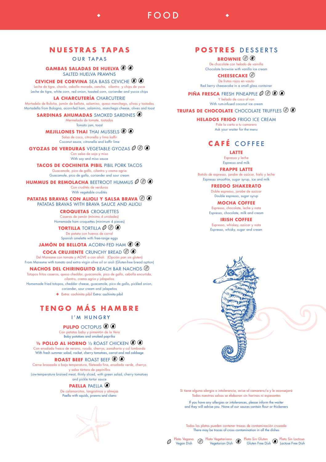# **NUESTRAS TAPAS**

OUR TAPAS

**GAMBAS SALADAS DE HUELVA** 

SALTED HUELVA PRAWNS

**CEVICHE DE CORVINA** SEA BASS CEVICHE  $\circledast \circledast$ Leche de tigre, choclo, cebolla morada, cancha, cilantro y chips de yuca Leche de tigre, white corn, red onion, toasted corn, coriander and yucca chips

**LA CHARCUTERÍA** CHARCUTERIE

Mortadela de Boloña, jamón de bellota, salamino, queso manchego, olivas y tostadas Mortadella from Bologna, acorn-fed ham, salamino, manchego cheese, olives and toast

### **SARDINAS AHUMADAS** SMOKED SARDINES  $\odot$

Mermelada de tomate, tostadas Tomato jam, toast

**MEJILLONES THAI** THAI MUSSELS  $\circledast \circledast$ 

Salsa de coco, citronella y lima kaffir Coconut sauce, citronella and kaffir lime

**GYOZAS DE VERDURAS** VEGETABLE GYOZAS  $\mathscr{O} \circledcirc$ Con salsa de soja y miso

With soy and miso sauce

# **TACOS DE COCHINITA PIBIL** PIBIL PORK TACOS

Guacamole, pico de gallo, cilantro y crema agria Guacamole, pico de gallo, coriander and sour cream

**HUMMUS DE REMOLACHA** BEETROOT HUMMUS  $\mathcal{O}(\mathcal{O})$ 

Con crudités de verduras With vegetable crudités

#### **PATATAS BRAVAS CON ALIOLI Y SALSA BRAVA** PATATAS BRAVAS WITH BRAVA SAUCE AND ALIOLI

**CROQUETAS** CROQUETTES

Caseras de jamón (mínimo 4 unidades) Homemade ham croquettes (minimum 4 pieces)

**TORTILLA** TORTILLA De patata con huevos de corral Spanish omelette with free-range eggs

## **JAMÓN DE BELLOTA** ACORN-FED HAM  $\circledast \circledast$

### **COCA CRUJIENTE** CRUNCHY BREAD

Del Maresme con tomate y AOVE o con alioli. (Opción pan sin gluten) From Maresme with tomato and extra virgin olive oil or aioli (Gluten-free bread option)

### **NACHOS DEL CHIRINGUITO** BEACH BAR NACHOS

Totopos fritos caseros, queso cheddar, guacamole, pico de gallo, cebolla encurtida, cilantro, crema agria y jalapeños

Homemade fried totopos, cheddar cheese, guacamole, pico de gallo, pickled onion, coriander, sour cream and jalapeños

**+** Extra: cochinita pibil Extra: cochinita pibil

# **TENGO MÁS HAMBRE**

# I'M HUNGRY

**PULPO** OCTOPUS

Con patatas baby y pimentón de la Vera Baby potatoes and smoked paprika

#### **1/2 POLLO AL HORNO** <sup>1</sup>/2 ROAST CHICKEN **(8)**

Con ensalada fresca de verano, rucula, cherrys, zanahoria y col lombarda With fresh summer salad, rocket, cherry tomatoes, carrot and red cabbage

## **ROAST BEEF** ROAST BEEF

Carne braseada a baja temperatura, fileteada fina, ensalada verde, cherrys y salsa tártara de pepinillos Low-temperature braised meat, thinly sliced, with green salad, cherry tomatoes and pickle tartar sauce

# **PAELLA** PAELLA

De calamarcitos, langostinos y almejas Paella with squids, prawns and clams



# **POSTRES** DESSERTS

FOOD

## **BROWNIE**  $\textcircled{\scriptsize{R}}$

De chocolate con helado de vainilla Chocolate brownie with vanilla ice cream

#### **CHEESECAKE** De frutos rojos en vasito

Red berry cheesecake in a small glass container

### **PIÑA FRESCA** FRESH PINEAPPLE  $\mathcal{O}(\mathcal{D})$  (8) (6)

Y helado de coco al ron With rum-infused coconut ice cream

### **TRUFAS DE CHOCOLATE** CHOCOLATE TRUFFLES

**HELADOS FRIGO** FRIGO ICE CREAM

Pide la carta a tu camarero Ask your waiter for the menu

# **CAFÉ** COFFEE

**LATTE**

Espresso y leche Espresso and milk

#### **FRAPPE LATTE**

Batido de espresso, jarabe de azúcar, hielo y leche Espresso smoothie, sugar syrup, ice and milk

**FREDDO SHAKERATO**

Doble espresso, jarabe de azúcar Double espresso, sugar syrup

### **MOCHA COFFEE**

Espresso, chocolate, leche y nata Espresso, chocolate, milk and cream

### **IRISH COFFEE**

Espresso, whiskey, azúcar y nata Espresso, whisky, sugar and cream

Si tiene alguna alergia o intolerancia, avise al camarero/a y le aconsejará Todas nuestras salsas se elaboran sin harinas ni espesantes

If you have any allergies or intolerances, please inform the waiter and they will advise you. None of our sauces contain flour or thickeners

Todos los platos pueden contener trazas de contaminación cruzada There may be traces of cross contamination in all the dishes

Plato Vegetariano a Plato Sin Gluten

Vegetarian Dish

Plato Vegano Vegan Dish

 $\varnothing$ 

Gluten Free Dish

Plato Sin Lactosa Lactose Free Dish